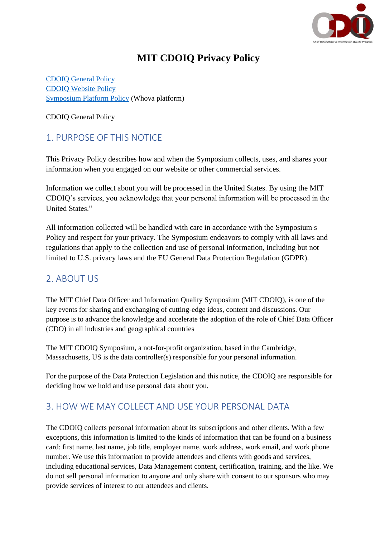

# **MIT CDOIQ Privacy Policy**

[CDOIQ General Policy](#page-0-0) [CDOIQ Website Policy](#page-8-0) [Symposium Platform Policy](https://whova.com/privacy/) (Whova platform)

<span id="page-0-0"></span>CDOIQ General Policy

# 1. PURPOSE OF THIS NOTICE

This Privacy Policy describes how and when the Symposium collects, uses, and shares your information when you engaged on our website or other commercial services.

Information we collect about you will be processed in the United States. By using the MIT CDOIQ's services, you acknowledge that your personal information will be processed in the United States."

All information collected will be handled with care in accordance with the Symposium s Policy and respect for your privacy. The Symposium endeavors to comply with all laws and regulations that apply to the collection and use of personal information, including but not limited to U.S. privacy laws and the EU General Data Protection Regulation (GDPR).

### 2. ABOUT US

The MIT Chief Data Officer and Information Quality Symposium (MIT CDOIQ), is one of the key events for sharing and exchanging of cutting-edge ideas, content and discussions. Our purpose is to advance the knowledge and accelerate the adoption of the role of Chief Data Officer (CDO) in all industries and geographical countries

The MIT CDOIQ Symposium, a not-for-profit organization, based in the Cambridge, Massachusetts, US is the data controller(s) responsible for your personal information.

For the purpose of the Data Protection Legislation and this notice, the CDOIQ are responsible for deciding how we hold and use personal data about you.

## 3. HOW WE MAY COLLECT AND USE YOUR PERSONAL DATA

The CDOIQ collects personal information about its subscriptions and other clients. With a few exceptions, this information is limited to the kinds of information that can be found on a business card: first name, last name, job title, employer name, work address, work email, and work phone number. We use this information to provide attendees and clients with goods and services, including educational services, Data Management content, certification, training, and the like. We do not sell personal information to anyone and only share with consent to our sponsors who may provide services of interest to our attendees and clients.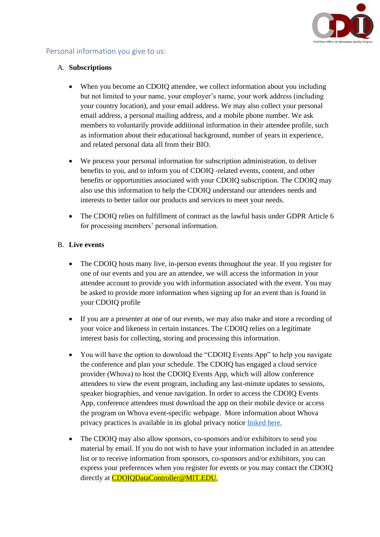

### Personal information you give to us:

#### A. **Subscriptions**

- When you become an CDOIQ attendee, we collect information about you including but not limited to your name, your employer's name, your work address (including your country location), and your email address. We may also collect your personal email address, a personal mailing address, and a mobile phone number. We ask members to voluntarily provide additional information in their attendee profile, such as information about their educational background, number of years in experience, and related personal data all from their BIO.
- We process your personal information for subscription administration, to deliver benefits to you, and to inform you of CDOIQ -related events, content, and other benefits or opportunities associated with your CDOIQ subscription. The CDOIQ may also use this information to help the CDOIQ understand our attendees needs and interests to better tailor our products and services to meet your needs.
- The CDOIQ relies on fulfillment of contract as the lawful basis under GDPR Article 6 for processing members' personal information.

#### B. **Live events**

- The CDOIQ hosts many live, in-person events throughout the year. If you register for one of our events and you are an attendee, we will access the information in your attendee account to provide you with information associated with the event. You may be asked to provide more information when signing up for an event than is found in your CDOIQ profile
- If you are a presenter at one of our events, we may also make and store a recording of your voice and likeness in certain instances. The CDOIQ relies on a legitimate interest basis for collecting, storing and processing this information.
- You will have the option to download the "CDOIQ Events App" to help you navigate the conference and plan your schedule. The CDOIQ has engaged a cloud service provider (Whova) to host the CDOIQ Events App, which will allow conference attendees to view the event program, including any last-minute updates to sessions, speaker biographies, and venue navigation. In order to access the CDOIQ Events App, conference attendees must download the app on their mobile device or access the program on Whova event-specific webpage. More information about Whova privacy practices is available in its global privacy notice [linked here.](https://whova.com/privacy/)
- The CDOIQ may also allow sponsors, co-sponsors and/or exhibitors to send you material by email. If you do not wish to have your information included in an attendee list or to receive information from sponsors, co-sponsors and/or exhibitors, you can express your preferences when you register for events or you may contact the CDOIQ directly at [CDOIQDataController@MIT.EDU.](mailto:CDOIQDataController@MIT.EDU)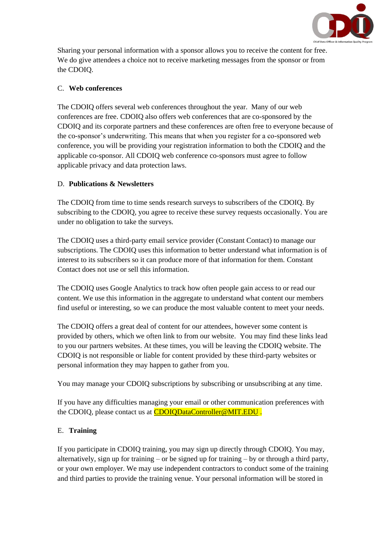

Sharing your personal information with a sponsor allows you to receive the content for free. We do give attendees a choice not to receive marketing messages from the sponsor or from the CDOIQ.

### C. **Web conferences**

The CDOIQ offers several web conferences throughout the year. Many of our web conferences are free. CDOIQ also offers web conferences that are co-sponsored by the CDOIQ and its corporate partners and these conferences are often free to everyone because of the co-sponsor's underwriting. This means that when you register for a co-sponsored web conference, you will be providing your registration information to both the CDOIQ and the applicable co-sponsor. All CDOIQ web conference co-sponsors must agree to follow applicable privacy and data protection laws.

### D. **Publications & Newsletters**

The CDOIQ from time to time sends research surveys to subscribers of the CDOIQ. By subscribing to the CDOIQ, you agree to receive these survey requests occasionally. You are under no obligation to take the surveys.

The CDOIQ uses a third-party email service provider (Constant Contact) to manage our subscriptions. The CDOIQ uses this information to better understand what information is of interest to its subscribers so it can produce more of that information for them. Constant Contact does not use or sell this information.

The CDOIQ uses Google Analytics to track how often people gain access to or read our content. We use this information in the aggregate to understand what content our members find useful or interesting, so we can produce the most valuable content to meet your needs.

The CDOIQ offers a great deal of content for our attendees, however some content is provided by others, which we often link to from our website. You may find these links lead to you our partners websites. At these times, you will be leaving the CDOIQ website. The CDOIQ is not responsible or liable for content provided by these third-party websites or personal information they may happen to gather from you.

You may manage your CDOIQ subscriptions by subscribing or unsubscribing at any time.

If you have any difficulties managing your email or other communication preferences with the CDOIQ, please contact us at **[CDOIQDataController@MIT.EDU](mailto:CDOIQDataController@MIT.EDU)**.

### E. **Training**

If you participate in CDOIQ training, you may sign up directly through CDOIQ. You may, alternatively, sign up for training  $-$  or be signed up for training  $-$  by or through a third party, or your own employer. We may use independent contractors to conduct some of the training and third parties to provide the training venue. Your personal information will be stored in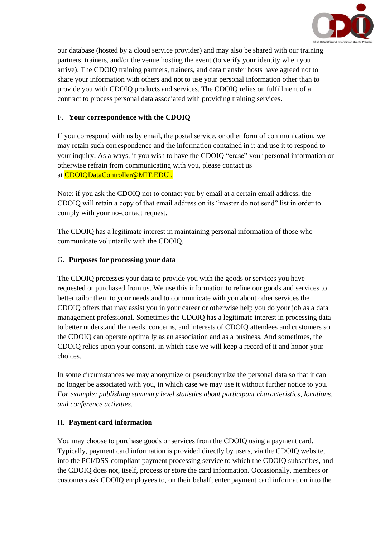

our database (hosted by a cloud service provider) and may also be shared with our training partners, trainers, and/or the venue hosting the event (to verify your identity when you arrive). The CDOIQ training partners, trainers, and data transfer hosts have agreed not to share your information with others and not to use your personal information other than to provide you with CDOIQ products and services. The CDOIQ relies on fulfillment of a contract to process personal data associated with providing training services.

### F. **Your correspondence with the CDOIQ**

If you correspond with us by email, the postal service, or other form of communication, we may retain such correspondence and the information contained in it and use it to respond to your inquiry; As always, if you wish to have the CDOIQ "erase" your personal information or otherwise refrain from communicating with you, please contact us at [CDOIQDataController@MIT.EDU](mailto:CDOIQDataController@MIT.EDU) .

Note: if you ask the CDOIQ not to contact you by email at a certain email address, the CDOIQ will retain a copy of that email address on its "master do not send" list in order to comply with your no-contact request.

The CDOIQ has a legitimate interest in maintaining personal information of those who communicate voluntarily with the CDOIQ.

### G. **Purposes for processing your data**

The CDOIQ processes your data to provide you with the goods or services you have requested or purchased from us. We use this information to refine our goods and services to better tailor them to your needs and to communicate with you about other services the CDOIQ offers that may assist you in your career or otherwise help you do your job as a data management professional. Sometimes the CDOIQ has a legitimate interest in processing data to better understand the needs, concerns, and interests of CDOIQ attendees and customers so the CDOIQ can operate optimally as an association and as a business. And sometimes, the CDOIQ relies upon your consent, in which case we will keep a record of it and honor your choices.

In some circumstances we may anonymize or pseudonymize the personal data so that it can no longer be associated with you, in which case we may use it without further notice to you. *For example; publishing summary level statistics about participant characteristics, locations, and conference activities.*

### H. **Payment card information**

You may choose to purchase goods or services from the CDOIQ using a payment card. Typically, payment card information is provided directly by users, via the CDOIQ website, into the PCI/DSS-compliant payment processing service to which the CDOIQ subscribes, and the CDOIQ does not, itself, process or store the card information. Occasionally, members or customers ask CDOIQ employees to, on their behalf, enter payment card information into the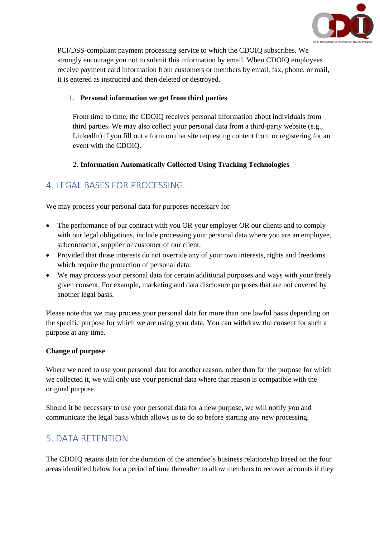

PCI/DSS-compliant payment processing service to which the CDOIQ subscribes. We strongly encourage you not to submit this information by email. When CDOIQ employees receive payment card information from customers or members by email, fax, phone, or mail, it is entered as instructed and then deleted or destroyed.

### 1. **Personal information we get from third parties**

From time to time, the CDOIQ receives personal information about individuals from third parties. We may also collect your personal data from a third-party website (e.g., LinkedIn) if you fill out a form on that site requesting content from or registering for an event with the CDOIQ.

### 2. **Information Automatically Collected Using Tracking Technologies**

## 4. LEGAL BASES FOR PROCESSING

We may process your personal data for purposes necessary for

- The performance of our contract with you OR your employer OR our clients and to comply with our legal obligations, include processing your personal data where you are an employee, subcontractor, supplier or customer of our client.
- Provided that those interests do not override any of your own interests, rights and freedoms which require the protection of personal data.
- We may process your personal data for certain additional purposes and ways with your freely given consent. For example, marketing and data disclosure purposes that are not covered by another legal basis.

Please note that we may process your personal data for more than one lawful basis depending on the specific purpose for which we are using your data. You can withdraw the consent for such a purpose at any time.

### **Change of purpose**

Where we need to use your personal data for another reason, other than for the purpose for which we collected it, we will only use your personal data where that reason is compatible with the original purpose.

Should it be necessary to use your personal data for a new purpose, we will notify you and communicate the legal basis which allows us to do so before starting any new processing.

### 5. DATA RETENTION

The CDOIQ retains data for the duration of the attendee's business relationship based on the four areas identified below for a period of time thereafter to allow members to recover accounts if they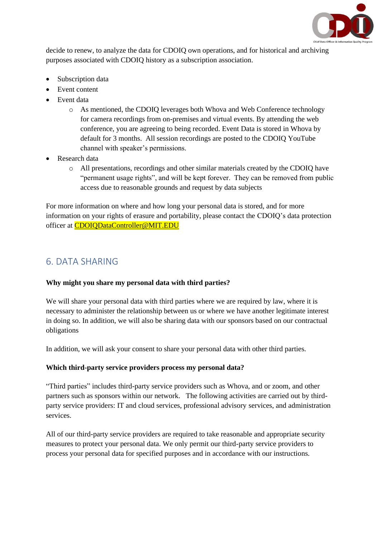

decide to renew, to analyze the data for CDOIQ own operations, and for historical and archiving purposes associated with CDOIQ history as a subscription association.

- Subscription data
- Event content
- Event data
	- o As mentioned, the CDOIQ leverages both Whova and Web Conference technology for camera recordings from on-premises and virtual events. By attending the web conference, you are agreeing to being recorded. Event Data is stored in Whova by default for 3 months. All session recordings are posted to the CDOIQ YouTube channel with speaker's permissions.
- Research data
	- o All presentations, recordings and other similar materials created by the CDOIQ have "permanent usage rights", and will be kept forever. They can be removed from public access due to reasonable grounds and request by data subjects

For more information on where and how long your personal data is stored, and for more information on your rights of erasure and portability, please contact the CDOIQ's data protection officer at [CDOIQDataController@MIT.EDU](mailto:CDOIQDataController@MIT.EDU)

## 6. DATA SHARING

### **Why might you share my personal data with third parties?**

We will share your personal data with third parties where we are required by law, where it is necessary to administer the relationship between us or where we have another legitimate interest in doing so. In addition, we will also be sharing data with our sponsors based on our contractual obligations

In addition, we will ask your consent to share your personal data with other third parties.

### **Which third-party service providers process my personal data?**

"Third parties" includes third-party service providers such as Whova, and or zoom, and other partners such as sponsors within our network. The following activities are carried out by thirdparty service providers: IT and cloud services, professional advisory services, and administration services.

All of our third-party service providers are required to take reasonable and appropriate security measures to protect your personal data. We only permit our third-party service providers to process your personal data for specified purposes and in accordance with our instructions.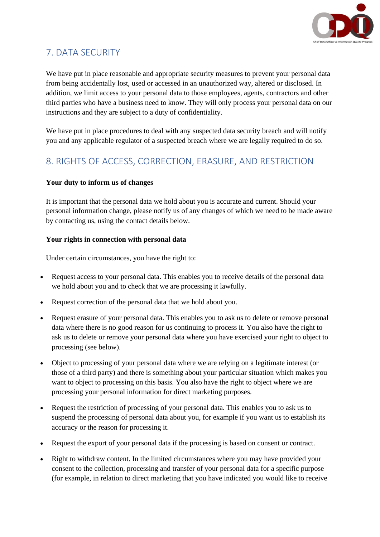

# 7. DATA SECURITY

We have put in place reasonable and appropriate security measures to prevent your personal data from being accidentally lost, used or accessed in an unauthorized way, altered or disclosed. In addition, we limit access to your personal data to those employees, agents, contractors and other third parties who have a business need to know. They will only process your personal data on our instructions and they are subject to a duty of confidentiality.

We have put in place procedures to deal with any suspected data security breach and will notify you and any applicable regulator of a suspected breach where we are legally required to do so.

# 8. RIGHTS OF ACCESS, CORRECTION, ERASURE, AND RESTRICTION

### **Your duty to inform us of changes**

It is important that the personal data we hold about you is accurate and current. Should your personal information change, please notify us of any changes of which we need to be made aware by contacting us, using the contact details below.

### **Your rights in connection with personal data**

Under certain circumstances, you have the right to:

- Request access to your personal data. This enables you to receive details of the personal data we hold about you and to check that we are processing it lawfully.
- Request correction of the personal data that we hold about you.
- Request erasure of your personal data. This enables you to ask us to delete or remove personal data where there is no good reason for us continuing to process it. You also have the right to ask us to delete or remove your personal data where you have exercised your right to object to processing (see below).
- Object to processing of your personal data where we are relying on a legitimate interest (or those of a third party) and there is something about your particular situation which makes you want to object to processing on this basis. You also have the right to object where we are processing your personal information for direct marketing purposes.
- Request the restriction of processing of your personal data. This enables you to ask us to suspend the processing of personal data about you, for example if you want us to establish its accuracy or the reason for processing it.
- Request the export of your personal data if the processing is based on consent or contract.
- Right to withdraw content. In the limited circumstances where you may have provided your consent to the collection, processing and transfer of your personal data for a specific purpose (for example, in relation to direct marketing that you have indicated you would like to receive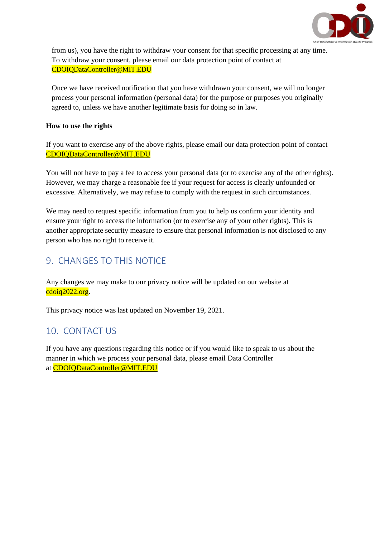

from us), you have the right to withdraw your consent for that specific processing at any time. To withdraw your consent, please email our data protection point of contact at [CDOIQDataController@MIT.EDU](mailto:CDOIQDataController@MIT.EDU)

Once we have received notification that you have withdrawn your consent, we will no longer process your personal information (personal data) for the purpose or purposes you originally agreed to, unless we have another legitimate basis for doing so in law.

#### **How to use the rights**

If you want to exercise any of the above rights, please email our data protection point of contact [CDOIQDataController@MIT.EDU](mailto:CDOIQDataController@MIT.EDU)

You will not have to pay a fee to access your personal data (or to exercise any of the other rights). However, we may charge a reasonable fee if your request for access is clearly unfounded or excessive. Alternatively, we may refuse to comply with the request in such circumstances.

We may need to request specific information from you to help us confirm your identity and ensure your right to access the information (or to exercise any of your other rights). This is another appropriate security measure to ensure that personal information is not disclosed to any person who has no right to receive it.

## 9. CHANGES TO THIS NOTICE

Any changes we may make to our privacy notice will be updated on our website at cdoiq2022.org.

This privacy notice was last updated on November 19, 2021.

### 10. CONTACT US

If you have any questions regarding this notice or if you would like to speak to us about the manner in which we process your personal data, please email Data Controller at [CDOIQDataController@MIT.EDU](mailto:CDOIQDataController@MIT.EDU)